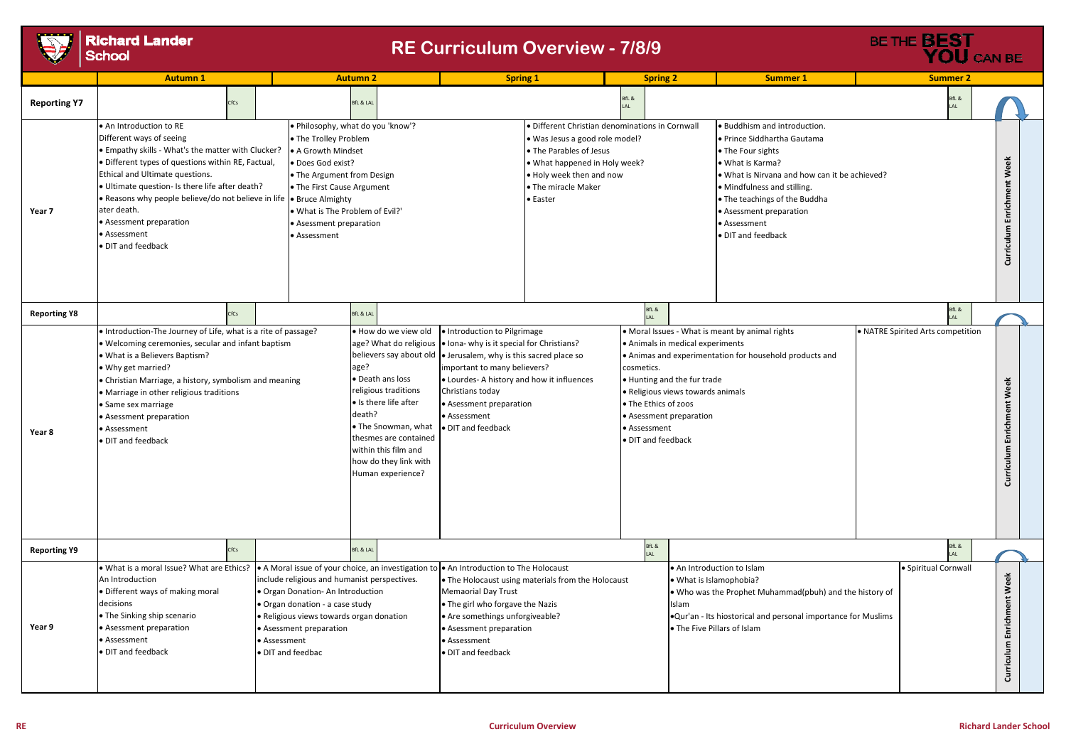|                     | <b>Autumn 1</b>                                                                                                                                                                                                                                                                                                                                                                                                                                                                                                                             |      | <b>Autumn 2</b>                                                                                                                                                                                            |                                   |                                                                                                                                                                                                                 | <b>Spring 1</b>                                                                                                                                                                                                                                                                                                                                   |                                                                                                                                                                                                              |  | <b>Spring 2</b>                                                          |                                                                                                                                                                                                                                                 | <b>Summer 1</b>                                                                                                                                                                                                                                                                        |  | <b>Summer 2</b>                |
|---------------------|---------------------------------------------------------------------------------------------------------------------------------------------------------------------------------------------------------------------------------------------------------------------------------------------------------------------------------------------------------------------------------------------------------------------------------------------------------------------------------------------------------------------------------------------|------|------------------------------------------------------------------------------------------------------------------------------------------------------------------------------------------------------------|-----------------------------------|-----------------------------------------------------------------------------------------------------------------------------------------------------------------------------------------------------------------|---------------------------------------------------------------------------------------------------------------------------------------------------------------------------------------------------------------------------------------------------------------------------------------------------------------------------------------------------|--------------------------------------------------------------------------------------------------------------------------------------------------------------------------------------------------------------|--|--------------------------------------------------------------------------|-------------------------------------------------------------------------------------------------------------------------------------------------------------------------------------------------------------------------------------------------|----------------------------------------------------------------------------------------------------------------------------------------------------------------------------------------------------------------------------------------------------------------------------------------|--|--------------------------------|
| <b>Reporting Y7</b> |                                                                                                                                                                                                                                                                                                                                                                                                                                                                                                                                             | CfCs |                                                                                                                                                                                                            | <b>BfL &amp; LAL</b>              |                                                                                                                                                                                                                 |                                                                                                                                                                                                                                                                                                                                                   |                                                                                                                                                                                                              |  | BfL &                                                                    |                                                                                                                                                                                                                                                 |                                                                                                                                                                                                                                                                                        |  | BfL &<br>LAL                   |
| Year 7              | • An Introduction to RE<br>Different ways of seeing<br>• Empathy skills - What's the matter with Clucker?<br>· Different types of questions within RE, Factual,<br>Ethical and Ultimate questions.<br>· Ultimate question- Is there life after death?<br>. Reasons why people believe/do not believe in life  . Bruce Almighty<br>ater death.<br>• Asessment preparation<br>• Assessment<br>· DIT and feedback                                                                                                                              |      | • The Trolley Problem<br>• A Growth Mindset<br>· Does God exist?<br>• The Argument from Design<br>• The First Cause Argument<br>. What is The Problem of Evil?'<br>• Asessment preparation<br>• Assessment | . Philosophy, what do you 'know'? |                                                                                                                                                                                                                 |                                                                                                                                                                                                                                                                                                                                                   | · Different Christian denominations in Cornwall<br>· Was Jesus a good role model?<br>• The Parables of Jesus<br>. What happened in Holy week?<br>. Holy week then and now<br>• The miracle Maker<br>• Easter |  |                                                                          |                                                                                                                                                                                                                                                 | . Buddhism and introduction.<br>• Prince Siddhartha Gautama<br>• The Four sights<br>• What is Karma?<br>. What is Nirvana and how can it be achieved?<br>• Mindfulness and stilling.<br>• The teachings of the Buddha<br>• Asessment preparation<br>• Assessment<br>• DIT and feedback |  |                                |
| <b>Reporting Y8</b> |                                                                                                                                                                                                                                                                                                                                                                                                                                                                                                                                             | CfCs |                                                                                                                                                                                                            | <b>BfL &amp; LAL</b>              |                                                                                                                                                                                                                 |                                                                                                                                                                                                                                                                                                                                                   |                                                                                                                                                                                                              |  | BfL &                                                                    |                                                                                                                                                                                                                                                 |                                                                                                                                                                                                                                                                                        |  | BfL &<br>LAL                   |
| Year 8              | • Introduction-The Journey of Life, what is a rite of passage?<br>. Welcoming ceremonies, secular and infant baptism<br>. What is a Believers Baptism?<br>• Why get married?<br>• Christian Marriage, a history, symbolism and meaning<br>• Marriage in other religious traditions<br>• Same sex marriage<br>• Asessment preparation<br>• Assessment<br>· DIT and feedback                                                                                                                                                                  |      |                                                                                                                                                                                                            | age?<br>death?                    | · How do we view old<br>• Death ans loss<br>religious traditions<br>• Is there life after<br>• The Snowman, what<br>thesmes are contained<br>within this film and<br>how do they link with<br>Human experience? | . Introduction to Pilgrimage<br>age? What do religious   • Iona- why is it special for Christians?<br>believers say about old $\bullet$ Jerusalem, why is this sacred place so<br>important to many believers?<br>• Lourdes- A history and how it influences<br>Christians today<br>• Asessment preparation<br>• Assessment<br>• DIT and feedback |                                                                                                                                                                                                              |  | cosmetics.<br>• The Ethics of zoos<br>• Assessment<br>· DIT and feedback | • Animals in medical experiments<br>. Hunting and the fur trade<br>• Religious views towards animals<br>• Asessment preparation                                                                                                                 | • Moral Issues - What is meant by animal rights<br>Animas and experimentation for household products and                                                                                                                                                                               |  | • NATRE Spirited Arts competit |
| <b>Reporting Y9</b> |                                                                                                                                                                                                                                                                                                                                                                                                                                                                                                                                             | CfCs |                                                                                                                                                                                                            | <b>BfL &amp; LAL</b>              |                                                                                                                                                                                                                 |                                                                                                                                                                                                                                                                                                                                                   |                                                                                                                                                                                                              |  | BfL &<br>AL                                                              |                                                                                                                                                                                                                                                 |                                                                                                                                                                                                                                                                                        |  | BfL &<br>LAL                   |
| Year 9              | . What is a moral Issue? What are Ethics?<br>• A Moral issue of your choice, an investigation to • An Introduction to The Holocaust<br>An Introduction<br>include religious and humanist perspectives.<br>· Different ways of making moral<br>. Organ Donation- An Introduction<br>decisions<br>• Organ donation - a case study<br>• The Sinking ship scenario<br>· Religious views towards organ donation<br>• Asessment preparation<br>• Asessment preparation<br>• Assessment<br>• Assessment<br>• DIT and feedback<br>· DIT and feedbac |      |                                                                                                                                                                                                            |                                   |                                                                                                                                                                                                                 | • The Holocaust using materials from the Holocaust<br>• The girl who forgave the Nazis<br>• Are somethings unforgiveable?<br>• Asessment preparation                                                                                                                                                                                              |                                                                                                                                                                                                              |  | Islam                                                                    | . An Introduction to Islam<br>· Spiritual Cornwal<br>• What is Islamophobia?<br>. Who was the Prophet Muhammad(pbuh) and the history of<br><b>.</b> Qur'an - Its hiostorical and personal importance for Muslims<br>• The Five Pillars of Islam |                                                                                                                                                                                                                                                                                        |  |                                |



# **Richard Lander**<br>School

## **RE Curriculum Overview - 7/8/9**